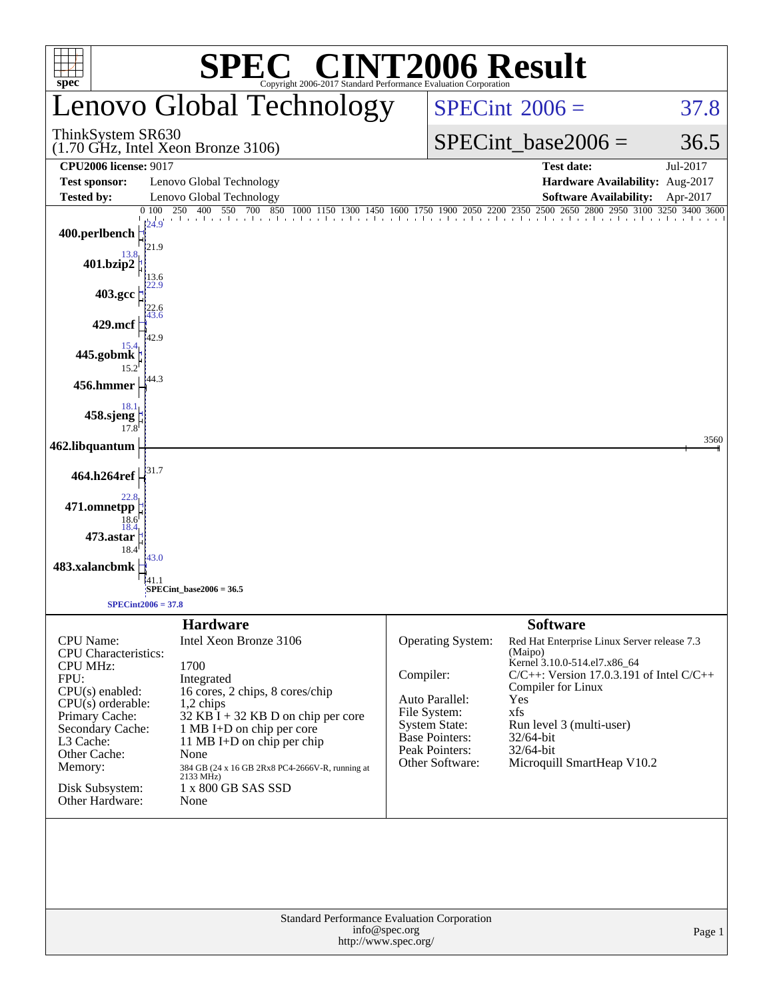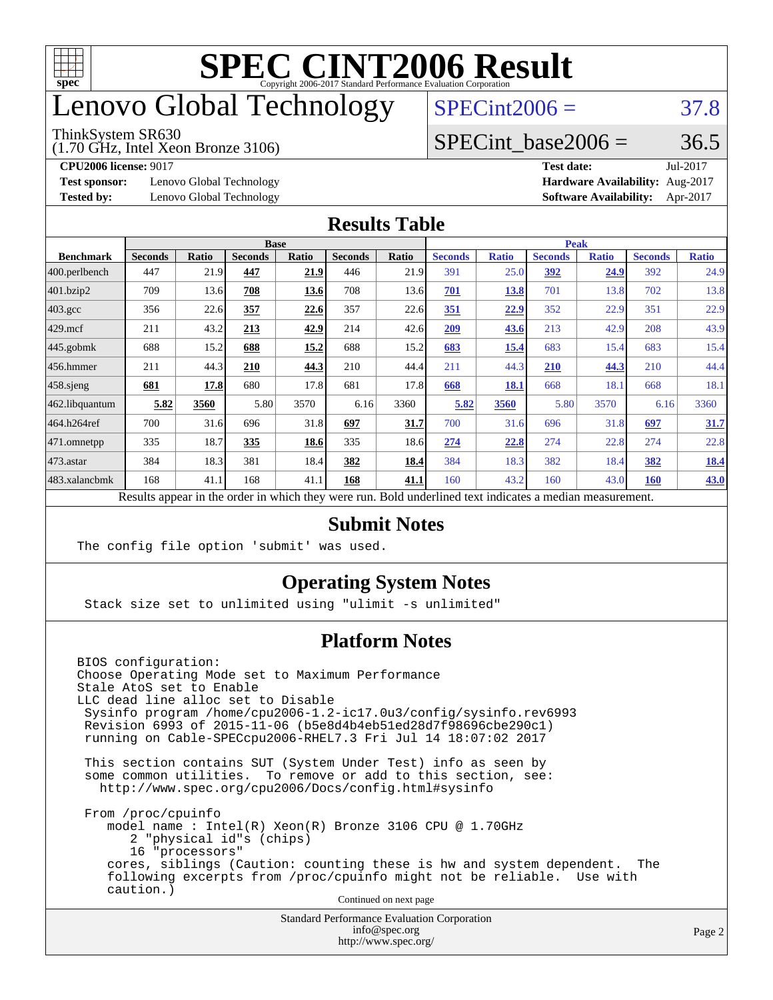

### enovo Global Technology

#### ThinkSystem SR630

(1.70 GHz, Intel Xeon Bronze 3106)

 $SPECint2006 = 37.8$  $SPECint2006 = 37.8$ 

#### SPECint base2006 =  $36.5$

**[Test sponsor:](http://www.spec.org/auto/cpu2006/Docs/result-fields.html#Testsponsor)** Lenovo Global Technology **[Hardware Availability:](http://www.spec.org/auto/cpu2006/Docs/result-fields.html#HardwareAvailability)** Aug-2017

**[CPU2006 license:](http://www.spec.org/auto/cpu2006/Docs/result-fields.html#CPU2006license)** 9017 **[Test date:](http://www.spec.org/auto/cpu2006/Docs/result-fields.html#Testdate)** Jul-2017 **[Tested by:](http://www.spec.org/auto/cpu2006/Docs/result-fields.html#Testedby)** Lenovo Global Technology **[Software Availability:](http://www.spec.org/auto/cpu2006/Docs/result-fields.html#SoftwareAvailability)** Apr-2017

#### **[Results Table](http://www.spec.org/auto/cpu2006/Docs/result-fields.html#ResultsTable)**

|                                                                                                          | <b>Base</b>    |              |                |       |                | <b>Peak</b> |                |              |                |              |                |              |
|----------------------------------------------------------------------------------------------------------|----------------|--------------|----------------|-------|----------------|-------------|----------------|--------------|----------------|--------------|----------------|--------------|
| <b>Benchmark</b>                                                                                         | <b>Seconds</b> | <b>Ratio</b> | <b>Seconds</b> | Ratio | <b>Seconds</b> | Ratio       | <b>Seconds</b> | <b>Ratio</b> | <b>Seconds</b> | <b>Ratio</b> | <b>Seconds</b> | <b>Ratio</b> |
| 400.perlbench                                                                                            | 447            | 21.9         | 447            | 21.9  | 446            | 21.9        | 391            | 25.0         | 392            | 24.9         | 392            | 24.9         |
| 401.bzip2                                                                                                | 709            | 13.6         | 708            | 13.6  | 708            | 13.6        | 701            | <u>13.8</u>  | 701            | 13.8         | 702            | 13.8         |
| $403.\mathrm{gcc}$                                                                                       | 356            | 22.6         | 357            | 22.6  | 357            | 22.6        | 351            | 22.9         | 352            | 22.9         | 351            | 22.9         |
| $429$ mcf                                                                                                | 211            | 43.2         | 213            | 42.9  | 214            | 42.6        | 209            | 43.6         | 213            | 42.9         | 208            | 43.9         |
| $445$ .gobmk                                                                                             | 688            | 15.2         | 688            | 15.2  | 688            | 15.2        | 683            | 15.4         | 683            | 15.4         | 683            | 15.4         |
| 456.hmmer                                                                                                | 211            | 44.3         | 210            | 44.3  | 210            | 44.4        | 211            | 44.3         | 210            | 44.3         | 210            | 44.4         |
| $458$ .sjeng                                                                                             | 681            | 17.8         | 680            | 17.8  | 681            | 17.8        | 668            | 18.1         | 668            | 18.1         | 668            | 18.1         |
| 462.libquantum                                                                                           | 5.82           | 3560         | 5.80           | 3570  | 6.16           | 3360        | 5.82           | 3560         | 5.80           | 3570         | 6.16           | 3360         |
| 464.h264ref                                                                                              | 700            | 31.6         | 696            | 31.8  | 697            | 31.7        | 700            | 31.6         | 696            | 31.8         | 697            | 31.7         |
| $ 471$ .omnetpp                                                                                          | 335            | 18.7         | 335            | 18.6  | 335            | 18.6        | 274            | 22.8         | 274            | 22.8         | 274            | 22.8         |
| 473.astar                                                                                                | 384            | 18.3         | 381            | 18.4  | 382            | 18.4        | 384            | 18.3         | 382            | 18.4         | 382            | <u>18.4</u>  |
| 483.xalancbmk                                                                                            | 168            | 41.1         | 168            | 41.1  | 168            | 41.1        | 160            | 43.2         | 160            | 43.0         | <b>160</b>     | 43.0         |
| Results appear in the order in which they were run. Bold underlined text indicates a median measurement. |                |              |                |       |                |             |                |              |                |              |                |              |

#### **[Submit Notes](http://www.spec.org/auto/cpu2006/Docs/result-fields.html#SubmitNotes)**

The config file option 'submit' was used.

#### **[Operating System Notes](http://www.spec.org/auto/cpu2006/Docs/result-fields.html#OperatingSystemNotes)**

Stack size set to unlimited using "ulimit -s unlimited"

#### **[Platform Notes](http://www.spec.org/auto/cpu2006/Docs/result-fields.html#PlatformNotes)**

BIOS configuration: Choose Operating Mode set to Maximum Performance Stale AtoS set to Enable LLC dead line alloc set to Disable Sysinfo program /home/cpu2006-1.2-ic17.0u3/config/sysinfo.rev6993 Revision 6993 of 2015-11-06 (b5e8d4b4eb51ed28d7f98696cbe290c1) running on Cable-SPECcpu2006-RHEL7.3 Fri Jul 14 18:07:02 2017 This section contains SUT (System Under Test) info as seen by some common utilities. To remove or add to this section, see: <http://www.spec.org/cpu2006/Docs/config.html#sysinfo> From /proc/cpuinfo model name : Intel(R) Xeon(R) Bronze 3106 CPU @ 1.70GHz 2 "physical id"s (chips) 16 "processors" cores, siblings (Caution: counting these is hw and system dependent. The following excerpts from /proc/cpuinfo might not be reliable. Use with caution.) Continued on next page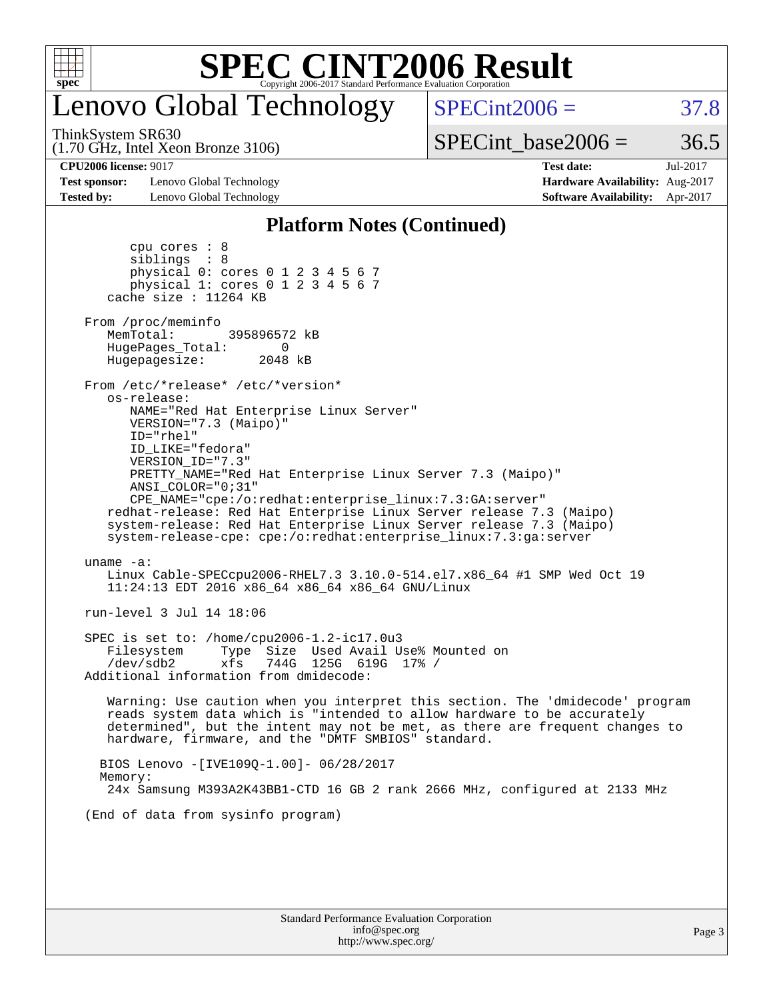

# enovo Global Technology

ThinkSystem SR630

(1.70 GHz, Intel Xeon Bronze 3106)

 $SPECTnt2006 = 37.8$ 

 $SPECTnt\_base2006 = 36.5$ 

**[Test sponsor:](http://www.spec.org/auto/cpu2006/Docs/result-fields.html#Testsponsor)** Lenovo Global Technology **[Hardware Availability:](http://www.spec.org/auto/cpu2006/Docs/result-fields.html#HardwareAvailability)** Aug-2017 **[Tested by:](http://www.spec.org/auto/cpu2006/Docs/result-fields.html#Testedby)** Lenovo Global Technology **[Software Availability:](http://www.spec.org/auto/cpu2006/Docs/result-fields.html#SoftwareAvailability)** Apr-2017

**[CPU2006 license:](http://www.spec.org/auto/cpu2006/Docs/result-fields.html#CPU2006license)** 9017 **[Test date:](http://www.spec.org/auto/cpu2006/Docs/result-fields.html#Testdate)** Jul-2017

#### **[Platform Notes \(Continued\)](http://www.spec.org/auto/cpu2006/Docs/result-fields.html#PlatformNotes)**

| cpu cores : 8<br>siblings : 8<br>physical 0: cores 0 1 2 3 4 5 6 7<br>physical 1: cores 0 1 2 3 4 5 6 7<br>cache size : 11264 KB                                                                                                                                                                                                                                                                                                                                                                                                           |
|--------------------------------------------------------------------------------------------------------------------------------------------------------------------------------------------------------------------------------------------------------------------------------------------------------------------------------------------------------------------------------------------------------------------------------------------------------------------------------------------------------------------------------------------|
| From /proc/meminfo<br>MemTotal: 395896572 kB<br>HugePages_Total:<br>0<br>Hugepagesize: 2048 kB                                                                                                                                                                                                                                                                                                                                                                                                                                             |
| From /etc/*release* /etc/*version*<br>os-release:<br>NAME="Red Hat Enterprise Linux Server"<br>VERSION="7.3 (Maipo)"<br>$ID="rhe1"$<br>ID_LIKE="fedora"<br>VERSION_ID="7.3"<br>PRETTY_NAME="Red Hat Enterprise Linux Server 7.3 (Maipo)"<br>ANSI COLOR="0;31"<br>CPE_NAME="cpe:/o:redhat:enterprise_linux:7.3:GA:server"<br>redhat-release: Red Hat Enterprise Linux Server release 7.3 (Maipo)<br>system-release: Red Hat Enterprise Linux Server release 7.3 (Maipo)<br>system-release-cpe: cpe:/o:redhat:enterprise_linux:7.3:ga:server |
| uname $-a$ :<br>Linux Cable-SPECcpu2006-RHEL7.3 3.10.0-514.el7.x86_64 #1 SMP Wed Oct 19<br>11:24:13 EDT 2016 x86_64 x86_64 x86_64 GNU/Linux                                                                                                                                                                                                                                                                                                                                                                                                |
| run-level 3 Jul 14 18:06                                                                                                                                                                                                                                                                                                                                                                                                                                                                                                                   |
| SPEC is set to: /home/cpu2006-1.2-ic17.0u3<br>Filesystem Type Size Used Avail Use% Mounted on<br>/dev/sdb2 xfs 744G 125G 619G 17% /<br>Additional information from dmidecode:                                                                                                                                                                                                                                                                                                                                                              |
| Warning: Use caution when you interpret this section. The 'dmidecode' program<br>reads system data which is "intended to allow hardware to be accurately<br>determined", but the intent may not be met, as there are frequent changes to<br>hardware, firmware, and the "DMTF SMBIOS" standard.                                                                                                                                                                                                                                            |
| BIOS Lenovo -[IVE109Q-1.00]- 06/28/2017<br>Memory:<br>24x Samsung M393A2K43BB1-CTD 16 GB 2 rank 2666 MHz, configured at 2133 MHz                                                                                                                                                                                                                                                                                                                                                                                                           |
| (End of data from sysinfo program)                                                                                                                                                                                                                                                                                                                                                                                                                                                                                                         |
|                                                                                                                                                                                                                                                                                                                                                                                                                                                                                                                                            |
|                                                                                                                                                                                                                                                                                                                                                                                                                                                                                                                                            |
|                                                                                                                                                                                                                                                                                                                                                                                                                                                                                                                                            |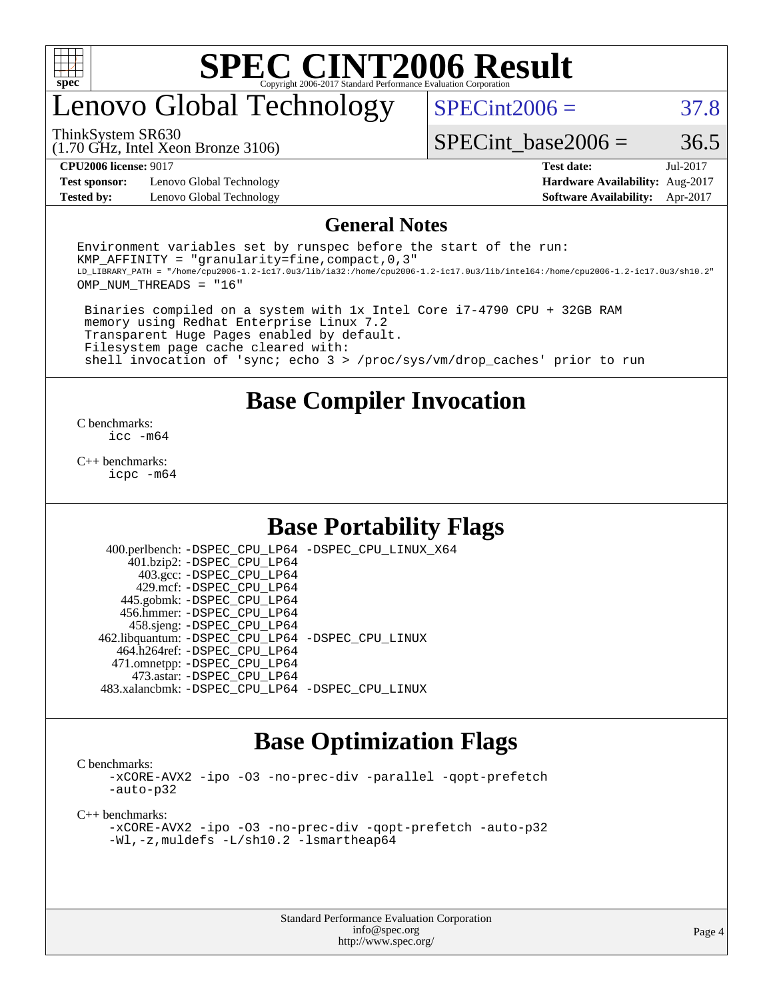

### enovo Global Technology

 $SPECint2006 = 37.8$  $SPECint2006 = 37.8$ 

(1.70 GHz, Intel Xeon Bronze 3106) ThinkSystem SR630

SPECint base2006 =  $36.5$ 

**[Test sponsor:](http://www.spec.org/auto/cpu2006/Docs/result-fields.html#Testsponsor)** Lenovo Global Technology **[Hardware Availability:](http://www.spec.org/auto/cpu2006/Docs/result-fields.html#HardwareAvailability)** Aug-2017 **[Tested by:](http://www.spec.org/auto/cpu2006/Docs/result-fields.html#Testedby)** Lenovo Global Technology **[Software Availability:](http://www.spec.org/auto/cpu2006/Docs/result-fields.html#SoftwareAvailability)** Apr-2017

**[CPU2006 license:](http://www.spec.org/auto/cpu2006/Docs/result-fields.html#CPU2006license)** 9017 **[Test date:](http://www.spec.org/auto/cpu2006/Docs/result-fields.html#Testdate)** Jul-2017

#### **[General Notes](http://www.spec.org/auto/cpu2006/Docs/result-fields.html#GeneralNotes)**

Environment variables set by runspec before the start of the run: KMP AFFINITY = "granularity=fine, compact,  $0,3$ " LD\_LIBRARY\_PATH = "/home/cpu2006-1.2-ic17.0u3/lib/ia32:/home/cpu2006-1.2-ic17.0u3/lib/intel64:/home/cpu2006-1.2-ic17.0u3/sh10.2" OMP\_NUM\_THREADS = "16"

 Binaries compiled on a system with 1x Intel Core i7-4790 CPU + 32GB RAM memory using Redhat Enterprise Linux 7.2 Transparent Huge Pages enabled by default. Filesystem page cache cleared with: shell invocation of 'sync; echo 3 > /proc/sys/vm/drop\_caches' prior to run

#### **[Base Compiler Invocation](http://www.spec.org/auto/cpu2006/Docs/result-fields.html#BaseCompilerInvocation)**

[C benchmarks](http://www.spec.org/auto/cpu2006/Docs/result-fields.html#Cbenchmarks): [icc -m64](http://www.spec.org/cpu2006/results/res2017q4/cpu2006-20170918-49454.flags.html#user_CCbase_intel_icc_64bit_bda6cc9af1fdbb0edc3795bac97ada53)

[C++ benchmarks:](http://www.spec.org/auto/cpu2006/Docs/result-fields.html#CXXbenchmarks) [icpc -m64](http://www.spec.org/cpu2006/results/res2017q4/cpu2006-20170918-49454.flags.html#user_CXXbase_intel_icpc_64bit_fc66a5337ce925472a5c54ad6a0de310)

#### **[Base Portability Flags](http://www.spec.org/auto/cpu2006/Docs/result-fields.html#BasePortabilityFlags)**

 400.perlbench: [-DSPEC\\_CPU\\_LP64](http://www.spec.org/cpu2006/results/res2017q4/cpu2006-20170918-49454.flags.html#b400.perlbench_basePORTABILITY_DSPEC_CPU_LP64) [-DSPEC\\_CPU\\_LINUX\\_X64](http://www.spec.org/cpu2006/results/res2017q4/cpu2006-20170918-49454.flags.html#b400.perlbench_baseCPORTABILITY_DSPEC_CPU_LINUX_X64) 401.bzip2: [-DSPEC\\_CPU\\_LP64](http://www.spec.org/cpu2006/results/res2017q4/cpu2006-20170918-49454.flags.html#suite_basePORTABILITY401_bzip2_DSPEC_CPU_LP64) 403.gcc: [-DSPEC\\_CPU\\_LP64](http://www.spec.org/cpu2006/results/res2017q4/cpu2006-20170918-49454.flags.html#suite_basePORTABILITY403_gcc_DSPEC_CPU_LP64) 429.mcf: [-DSPEC\\_CPU\\_LP64](http://www.spec.org/cpu2006/results/res2017q4/cpu2006-20170918-49454.flags.html#suite_basePORTABILITY429_mcf_DSPEC_CPU_LP64) 445.gobmk: [-DSPEC\\_CPU\\_LP64](http://www.spec.org/cpu2006/results/res2017q4/cpu2006-20170918-49454.flags.html#suite_basePORTABILITY445_gobmk_DSPEC_CPU_LP64) 456.hmmer: [-DSPEC\\_CPU\\_LP64](http://www.spec.org/cpu2006/results/res2017q4/cpu2006-20170918-49454.flags.html#suite_basePORTABILITY456_hmmer_DSPEC_CPU_LP64) 458.sjeng: [-DSPEC\\_CPU\\_LP64](http://www.spec.org/cpu2006/results/res2017q4/cpu2006-20170918-49454.flags.html#suite_basePORTABILITY458_sjeng_DSPEC_CPU_LP64) 462.libquantum: [-DSPEC\\_CPU\\_LP64](http://www.spec.org/cpu2006/results/res2017q4/cpu2006-20170918-49454.flags.html#suite_basePORTABILITY462_libquantum_DSPEC_CPU_LP64) [-DSPEC\\_CPU\\_LINUX](http://www.spec.org/cpu2006/results/res2017q4/cpu2006-20170918-49454.flags.html#b462.libquantum_baseCPORTABILITY_DSPEC_CPU_LINUX) 464.h264ref: [-DSPEC\\_CPU\\_LP64](http://www.spec.org/cpu2006/results/res2017q4/cpu2006-20170918-49454.flags.html#suite_basePORTABILITY464_h264ref_DSPEC_CPU_LP64) 471.omnetpp: [-DSPEC\\_CPU\\_LP64](http://www.spec.org/cpu2006/results/res2017q4/cpu2006-20170918-49454.flags.html#suite_basePORTABILITY471_omnetpp_DSPEC_CPU_LP64) 473.astar: [-DSPEC\\_CPU\\_LP64](http://www.spec.org/cpu2006/results/res2017q4/cpu2006-20170918-49454.flags.html#suite_basePORTABILITY473_astar_DSPEC_CPU_LP64) 483.xalancbmk: [-DSPEC\\_CPU\\_LP64](http://www.spec.org/cpu2006/results/res2017q4/cpu2006-20170918-49454.flags.html#suite_basePORTABILITY483_xalancbmk_DSPEC_CPU_LP64) [-DSPEC\\_CPU\\_LINUX](http://www.spec.org/cpu2006/results/res2017q4/cpu2006-20170918-49454.flags.html#b483.xalancbmk_baseCXXPORTABILITY_DSPEC_CPU_LINUX)

#### **[Base Optimization Flags](http://www.spec.org/auto/cpu2006/Docs/result-fields.html#BaseOptimizationFlags)**

[C benchmarks](http://www.spec.org/auto/cpu2006/Docs/result-fields.html#Cbenchmarks):

[-xCORE-AVX2](http://www.spec.org/cpu2006/results/res2017q4/cpu2006-20170918-49454.flags.html#user_CCbase_f-xCORE-AVX2) [-ipo](http://www.spec.org/cpu2006/results/res2017q4/cpu2006-20170918-49454.flags.html#user_CCbase_f-ipo) [-O3](http://www.spec.org/cpu2006/results/res2017q4/cpu2006-20170918-49454.flags.html#user_CCbase_f-O3) [-no-prec-div](http://www.spec.org/cpu2006/results/res2017q4/cpu2006-20170918-49454.flags.html#user_CCbase_f-no-prec-div) [-parallel](http://www.spec.org/cpu2006/results/res2017q4/cpu2006-20170918-49454.flags.html#user_CCbase_f-parallel) [-qopt-prefetch](http://www.spec.org/cpu2006/results/res2017q4/cpu2006-20170918-49454.flags.html#user_CCbase_f-qopt-prefetch) [-auto-p32](http://www.spec.org/cpu2006/results/res2017q4/cpu2006-20170918-49454.flags.html#user_CCbase_f-auto-p32)

[C++ benchmarks:](http://www.spec.org/auto/cpu2006/Docs/result-fields.html#CXXbenchmarks)

[-xCORE-AVX2](http://www.spec.org/cpu2006/results/res2017q4/cpu2006-20170918-49454.flags.html#user_CXXbase_f-xCORE-AVX2) [-ipo](http://www.spec.org/cpu2006/results/res2017q4/cpu2006-20170918-49454.flags.html#user_CXXbase_f-ipo) [-O3](http://www.spec.org/cpu2006/results/res2017q4/cpu2006-20170918-49454.flags.html#user_CXXbase_f-O3) [-no-prec-div](http://www.spec.org/cpu2006/results/res2017q4/cpu2006-20170918-49454.flags.html#user_CXXbase_f-no-prec-div) [-qopt-prefetch](http://www.spec.org/cpu2006/results/res2017q4/cpu2006-20170918-49454.flags.html#user_CXXbase_f-qopt-prefetch) [-auto-p32](http://www.spec.org/cpu2006/results/res2017q4/cpu2006-20170918-49454.flags.html#user_CXXbase_f-auto-p32) [-Wl,-z,muldefs](http://www.spec.org/cpu2006/results/res2017q4/cpu2006-20170918-49454.flags.html#user_CXXbase_link_force_multiple1_74079c344b956b9658436fd1b6dd3a8a) [-L/sh10.2 -lsmartheap64](http://www.spec.org/cpu2006/results/res2017q4/cpu2006-20170918-49454.flags.html#user_CXXbase_SmartHeap64_63911d860fc08c15fa1d5bf319b9d8d5)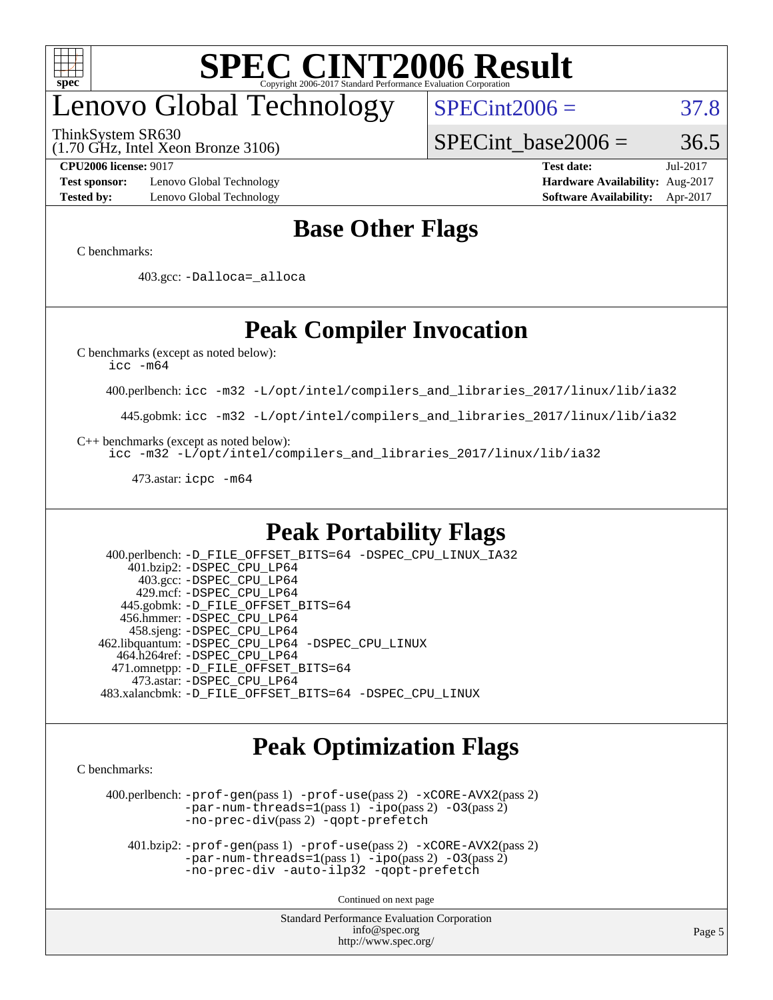

## enovo Global Technology

ThinkSystem SR630

(1.70 GHz, Intel Xeon Bronze 3106)

SPECint base2006 =  $36.5$ 

 $SPECint2006 = 37.8$  $SPECint2006 = 37.8$ 

**[Test sponsor:](http://www.spec.org/auto/cpu2006/Docs/result-fields.html#Testsponsor)** Lenovo Global Technology **[Hardware Availability:](http://www.spec.org/auto/cpu2006/Docs/result-fields.html#HardwareAvailability)** Aug-2017 **[Tested by:](http://www.spec.org/auto/cpu2006/Docs/result-fields.html#Testedby)** Lenovo Global Technology **[Software Availability:](http://www.spec.org/auto/cpu2006/Docs/result-fields.html#SoftwareAvailability)** Apr-2017

**[CPU2006 license:](http://www.spec.org/auto/cpu2006/Docs/result-fields.html#CPU2006license)** 9017 **[Test date:](http://www.spec.org/auto/cpu2006/Docs/result-fields.html#Testdate)** Jul-2017

#### **[Base Other Flags](http://www.spec.org/auto/cpu2006/Docs/result-fields.html#BaseOtherFlags)**

[C benchmarks](http://www.spec.org/auto/cpu2006/Docs/result-fields.html#Cbenchmarks):

403.gcc: [-Dalloca=\\_alloca](http://www.spec.org/cpu2006/results/res2017q4/cpu2006-20170918-49454.flags.html#b403.gcc_baseEXTRA_CFLAGS_Dalloca_be3056838c12de2578596ca5467af7f3)

### **[Peak Compiler Invocation](http://www.spec.org/auto/cpu2006/Docs/result-fields.html#PeakCompilerInvocation)**

[C benchmarks \(except as noted below\)](http://www.spec.org/auto/cpu2006/Docs/result-fields.html#Cbenchmarksexceptasnotedbelow):

[icc -m64](http://www.spec.org/cpu2006/results/res2017q4/cpu2006-20170918-49454.flags.html#user_CCpeak_intel_icc_64bit_bda6cc9af1fdbb0edc3795bac97ada53)

400.perlbench: [icc -m32 -L/opt/intel/compilers\\_and\\_libraries\\_2017/linux/lib/ia32](http://www.spec.org/cpu2006/results/res2017q4/cpu2006-20170918-49454.flags.html#user_peakCCLD400_perlbench_intel_icc_c29f3ff5a7ed067b11e4ec10a03f03ae)

445.gobmk: [icc -m32 -L/opt/intel/compilers\\_and\\_libraries\\_2017/linux/lib/ia32](http://www.spec.org/cpu2006/results/res2017q4/cpu2006-20170918-49454.flags.html#user_peakCCLD445_gobmk_intel_icc_c29f3ff5a7ed067b11e4ec10a03f03ae)

[C++ benchmarks \(except as noted below\):](http://www.spec.org/auto/cpu2006/Docs/result-fields.html#CXXbenchmarksexceptasnotedbelow)

[icc -m32 -L/opt/intel/compilers\\_and\\_libraries\\_2017/linux/lib/ia32](http://www.spec.org/cpu2006/results/res2017q4/cpu2006-20170918-49454.flags.html#user_CXXpeak_intel_icc_c29f3ff5a7ed067b11e4ec10a03f03ae)

473.astar: [icpc -m64](http://www.spec.org/cpu2006/results/res2017q4/cpu2006-20170918-49454.flags.html#user_peakCXXLD473_astar_intel_icpc_64bit_fc66a5337ce925472a5c54ad6a0de310)

#### **[Peak Portability Flags](http://www.spec.org/auto/cpu2006/Docs/result-fields.html#PeakPortabilityFlags)**

 400.perlbench: [-D\\_FILE\\_OFFSET\\_BITS=64](http://www.spec.org/cpu2006/results/res2017q4/cpu2006-20170918-49454.flags.html#user_peakPORTABILITY400_perlbench_file_offset_bits_64_438cf9856305ebd76870a2c6dc2689ab) [-DSPEC\\_CPU\\_LINUX\\_IA32](http://www.spec.org/cpu2006/results/res2017q4/cpu2006-20170918-49454.flags.html#b400.perlbench_peakCPORTABILITY_DSPEC_CPU_LINUX_IA32) 401.bzip2: [-DSPEC\\_CPU\\_LP64](http://www.spec.org/cpu2006/results/res2017q4/cpu2006-20170918-49454.flags.html#suite_peakPORTABILITY401_bzip2_DSPEC_CPU_LP64) 403.gcc: [-DSPEC\\_CPU\\_LP64](http://www.spec.org/cpu2006/results/res2017q4/cpu2006-20170918-49454.flags.html#suite_peakPORTABILITY403_gcc_DSPEC_CPU_LP64) 429.mcf: [-DSPEC\\_CPU\\_LP64](http://www.spec.org/cpu2006/results/res2017q4/cpu2006-20170918-49454.flags.html#suite_peakPORTABILITY429_mcf_DSPEC_CPU_LP64) 445.gobmk: [-D\\_FILE\\_OFFSET\\_BITS=64](http://www.spec.org/cpu2006/results/res2017q4/cpu2006-20170918-49454.flags.html#user_peakPORTABILITY445_gobmk_file_offset_bits_64_438cf9856305ebd76870a2c6dc2689ab) 456.hmmer: [-DSPEC\\_CPU\\_LP64](http://www.spec.org/cpu2006/results/res2017q4/cpu2006-20170918-49454.flags.html#suite_peakPORTABILITY456_hmmer_DSPEC_CPU_LP64) 458.sjeng: [-DSPEC\\_CPU\\_LP64](http://www.spec.org/cpu2006/results/res2017q4/cpu2006-20170918-49454.flags.html#suite_peakPORTABILITY458_sjeng_DSPEC_CPU_LP64) 462.libquantum: [-DSPEC\\_CPU\\_LP64](http://www.spec.org/cpu2006/results/res2017q4/cpu2006-20170918-49454.flags.html#suite_peakPORTABILITY462_libquantum_DSPEC_CPU_LP64) [-DSPEC\\_CPU\\_LINUX](http://www.spec.org/cpu2006/results/res2017q4/cpu2006-20170918-49454.flags.html#b462.libquantum_peakCPORTABILITY_DSPEC_CPU_LINUX) 464.h264ref: [-DSPEC\\_CPU\\_LP64](http://www.spec.org/cpu2006/results/res2017q4/cpu2006-20170918-49454.flags.html#suite_peakPORTABILITY464_h264ref_DSPEC_CPU_LP64) 471.omnetpp: [-D\\_FILE\\_OFFSET\\_BITS=64](http://www.spec.org/cpu2006/results/res2017q4/cpu2006-20170918-49454.flags.html#user_peakPORTABILITY471_omnetpp_file_offset_bits_64_438cf9856305ebd76870a2c6dc2689ab) 473.astar: [-DSPEC\\_CPU\\_LP64](http://www.spec.org/cpu2006/results/res2017q4/cpu2006-20170918-49454.flags.html#suite_peakPORTABILITY473_astar_DSPEC_CPU_LP64) 483.xalancbmk: [-D\\_FILE\\_OFFSET\\_BITS=64](http://www.spec.org/cpu2006/results/res2017q4/cpu2006-20170918-49454.flags.html#user_peakPORTABILITY483_xalancbmk_file_offset_bits_64_438cf9856305ebd76870a2c6dc2689ab) [-DSPEC\\_CPU\\_LINUX](http://www.spec.org/cpu2006/results/res2017q4/cpu2006-20170918-49454.flags.html#b483.xalancbmk_peakCXXPORTABILITY_DSPEC_CPU_LINUX)

#### **[Peak Optimization Flags](http://www.spec.org/auto/cpu2006/Docs/result-fields.html#PeakOptimizationFlags)**

[C benchmarks](http://www.spec.org/auto/cpu2006/Docs/result-fields.html#Cbenchmarks):

 400.perlbench: [-prof-gen](http://www.spec.org/cpu2006/results/res2017q4/cpu2006-20170918-49454.flags.html#user_peakPASS1_CFLAGSPASS1_LDCFLAGS400_perlbench_prof_gen_e43856698f6ca7b7e442dfd80e94a8fc)(pass 1) [-prof-use](http://www.spec.org/cpu2006/results/res2017q4/cpu2006-20170918-49454.flags.html#user_peakPASS2_CFLAGSPASS2_LDCFLAGS400_perlbench_prof_use_bccf7792157ff70d64e32fe3e1250b55)(pass 2) [-xCORE-AVX2](http://www.spec.org/cpu2006/results/res2017q4/cpu2006-20170918-49454.flags.html#user_peakPASS2_CFLAGSPASS2_LDCFLAGS400_perlbench_f-xCORE-AVX2)(pass 2) [-par-num-threads=1](http://www.spec.org/cpu2006/results/res2017q4/cpu2006-20170918-49454.flags.html#user_peakPASS1_CFLAGSPASS1_LDCFLAGS400_perlbench_par_num_threads_786a6ff141b4e9e90432e998842df6c2)(pass 1) [-ipo](http://www.spec.org/cpu2006/results/res2017q4/cpu2006-20170918-49454.flags.html#user_peakPASS2_CFLAGSPASS2_LDCFLAGS400_perlbench_f-ipo)(pass 2) [-O3](http://www.spec.org/cpu2006/results/res2017q4/cpu2006-20170918-49454.flags.html#user_peakPASS2_CFLAGSPASS2_LDCFLAGS400_perlbench_f-O3)(pass 2) [-no-prec-div](http://www.spec.org/cpu2006/results/res2017q4/cpu2006-20170918-49454.flags.html#user_peakPASS2_CFLAGSPASS2_LDCFLAGS400_perlbench_f-no-prec-div)(pass 2) [-qopt-prefetch](http://www.spec.org/cpu2006/results/res2017q4/cpu2006-20170918-49454.flags.html#user_peakCOPTIMIZE400_perlbench_f-qopt-prefetch)

 401.bzip2: [-prof-gen](http://www.spec.org/cpu2006/results/res2017q4/cpu2006-20170918-49454.flags.html#user_peakPASS1_CFLAGSPASS1_LDCFLAGS401_bzip2_prof_gen_e43856698f6ca7b7e442dfd80e94a8fc)(pass 1) [-prof-use](http://www.spec.org/cpu2006/results/res2017q4/cpu2006-20170918-49454.flags.html#user_peakPASS2_CFLAGSPASS2_LDCFLAGS401_bzip2_prof_use_bccf7792157ff70d64e32fe3e1250b55)(pass 2) [-xCORE-AVX2](http://www.spec.org/cpu2006/results/res2017q4/cpu2006-20170918-49454.flags.html#user_peakPASS2_CFLAGSPASS2_LDCFLAGS401_bzip2_f-xCORE-AVX2)(pass 2)  $-par-num-threads=1(pass 1) -ipo(pass 2) -O3(pass 2)$  $-par-num-threads=1(pass 1) -ipo(pass 2) -O3(pass 2)$  $-par-num-threads=1(pass 1) -ipo(pass 2) -O3(pass 2)$  $-par-num-threads=1(pass 1) -ipo(pass 2) -O3(pass 2)$  $-par-num-threads=1(pass 1) -ipo(pass 2) -O3(pass 2)$  $-par-num-threads=1(pass 1) -ipo(pass 2) -O3(pass 2)$ [-no-prec-div](http://www.spec.org/cpu2006/results/res2017q4/cpu2006-20170918-49454.flags.html#user_peakCOPTIMIZEPASS2_CFLAGSPASS2_LDCFLAGS401_bzip2_f-no-prec-div) [-auto-ilp32](http://www.spec.org/cpu2006/results/res2017q4/cpu2006-20170918-49454.flags.html#user_peakCOPTIMIZE401_bzip2_f-auto-ilp32) [-qopt-prefetch](http://www.spec.org/cpu2006/results/res2017q4/cpu2006-20170918-49454.flags.html#user_peakCOPTIMIZE401_bzip2_f-qopt-prefetch)

Continued on next page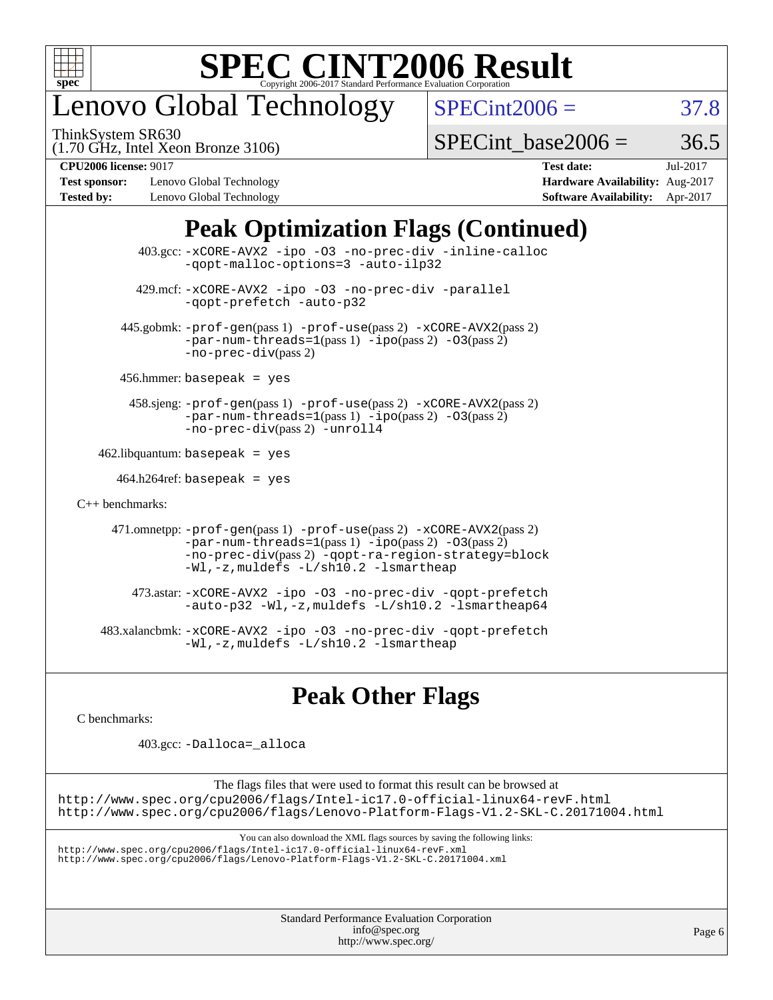

## enovo Global Technology

ThinkSystem SR630

 $SPECint2006 = 37.8$  $SPECint2006 = 37.8$ 

(1.70 GHz, Intel Xeon Bronze 3106)

SPECint base2006 =  $36.5$ 

**[Test sponsor:](http://www.spec.org/auto/cpu2006/Docs/result-fields.html#Testsponsor)** Lenovo Global Technology **[Hardware Availability:](http://www.spec.org/auto/cpu2006/Docs/result-fields.html#HardwareAvailability)** Aug-2017 **[Tested by:](http://www.spec.org/auto/cpu2006/Docs/result-fields.html#Testedby)** Lenovo Global Technology **[Software Availability:](http://www.spec.org/auto/cpu2006/Docs/result-fields.html#SoftwareAvailability)** Apr-2017

**[CPU2006 license:](http://www.spec.org/auto/cpu2006/Docs/result-fields.html#CPU2006license)** 9017 **[Test date:](http://www.spec.org/auto/cpu2006/Docs/result-fields.html#Testdate)** Jul-2017

### **[Peak Optimization Flags \(Continued\)](http://www.spec.org/auto/cpu2006/Docs/result-fields.html#PeakOptimizationFlags)**

| $403.\text{sec}: -x \text{CORE-AVX2}$ -ipo -03 -no-prec-div -inline-calloc<br>-gopt-malloc-options=3 -auto-ilp32                                                                                                              |  |
|-------------------------------------------------------------------------------------------------------------------------------------------------------------------------------------------------------------------------------|--|
| 429.mcf: -xCORE-AVX2 -ipo -03 -no-prec-div -parallel<br>-gopt-prefetch -auto-p32                                                                                                                                              |  |
| 445.gobmk: -prof-gen(pass 1) -prof-use(pass 2) -xCORE-AVX2(pass 2)<br>$-par-num-threads=1(pass 1) -ipo(pass 2) -03(pass 2)$<br>$-no-prec-div(pass 2)$                                                                         |  |
| $456.$ hmmer: basepeak = yes                                                                                                                                                                                                  |  |
| 458.sjeng: -prof-gen(pass 1) -prof-use(pass 2) -xCORE-AVX2(pass 2)<br>$-par-num-threads=1(pass 1) -ipo(pass 2) -03(pass 2)$<br>-no-prec-div(pass 2) -unroll4                                                                  |  |
| $462$ .libquantum: basepeak = yes                                                                                                                                                                                             |  |
| $464.h264$ ref: basepeak = yes                                                                                                                                                                                                |  |
| $C_{++}$ benchmarks:                                                                                                                                                                                                          |  |
| 471.omnetpp: -prof-gen(pass 1) -prof-use(pass 2) -xCORE-AVX2(pass 2)<br>$-par-num-threads=1(pass 1) -ipo(pass 2) -03(pass 2)$<br>-no-prec-div(pass 2) -qopt-ra-region-strategy=block<br>-Wl,-z, muldefs -L/sh10.2 -lsmartheap |  |
| 473.astar: -xCORE-AVX2 -ipo -03 -no-prec-div -qopt-prefetch<br>-auto-p32 -Wl,-z, muldefs -L/sh10.2 -lsmartheap64                                                                                                              |  |
| 483.xalancbmk:-xCORE-AVX2 -ipo -03 -no-prec-div -qopt-prefetch<br>-Wl,-z, muldefs -L/sh10.2 -lsmartheap                                                                                                                       |  |

### **[Peak Other Flags](http://www.spec.org/auto/cpu2006/Docs/result-fields.html#PeakOtherFlags)**

[C benchmarks](http://www.spec.org/auto/cpu2006/Docs/result-fields.html#Cbenchmarks):

403.gcc: [-Dalloca=\\_alloca](http://www.spec.org/cpu2006/results/res2017q4/cpu2006-20170918-49454.flags.html#b403.gcc_peakEXTRA_CFLAGS_Dalloca_be3056838c12de2578596ca5467af7f3)

The flags files that were used to format this result can be browsed at <http://www.spec.org/cpu2006/flags/Intel-ic17.0-official-linux64-revF.html> <http://www.spec.org/cpu2006/flags/Lenovo-Platform-Flags-V1.2-SKL-C.20171004.html>

You can also download the XML flags sources by saving the following links:

<http://www.spec.org/cpu2006/flags/Intel-ic17.0-official-linux64-revF.xml> <http://www.spec.org/cpu2006/flags/Lenovo-Platform-Flags-V1.2-SKL-C.20171004.xml>